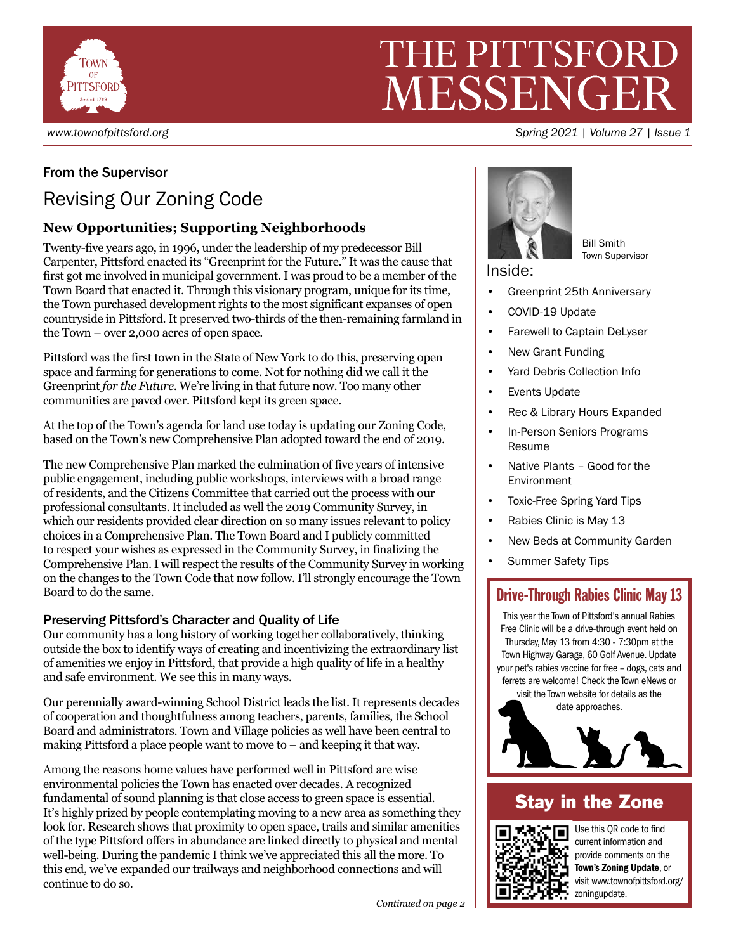

# THE PITTSFORD MESSENGI

#### *www.townofpittsford.org Spring 2021 | Volume 27 | Issue 1*

# From the Supervisor

# Revising Our Zoning Code

# **New Opportunities; Supporting Neighborhoods**

Twenty-five years ago, in 1996, under the leadership of my predecessor Bill Carpenter, Pittsford enacted its "Greenprint for the Future." It was the cause that first got me involved in municipal government. I was proud to be a member of the Town Board that enacted it. Through this visionary program, unique for its time, the Town purchased development rights to the most significant expanses of open countryside in Pittsford. It preserved two-thirds of the then-remaining farmland in the Town – over 2,000 acres of open space.

Pittsford was the first town in the State of New York to do this, preserving open space and farming for generations to come. Not for nothing did we call it the Greenprint *for the Future*. We're living in that future now. Too many other communities are paved over. Pittsford kept its green space.

At the top of the Town's agenda for land use today is updating our Zoning Code, based on the Town's new Comprehensive Plan adopted toward the end of 2019.

The new Comprehensive Plan marked the culmination of five years of intensive public engagement, including public workshops, interviews with a broad range of residents, and the Citizens Committee that carried out the process with our professional consultants. It included as well the 2019 Community Survey, in which our residents provided clear direction on so many issues relevant to policy choices in a Comprehensive Plan. The Town Board and I publicly committed to respect your wishes as expressed in the Community Survey, in finalizing the Comprehensive Plan. I will respect the results of the Community Survey in working on the changes to the Town Code that now follow. I'll strongly encourage the Town Board to do the same.

### Preserving Pittsford's Character and Quality of Life

Our community has a long history of working together collaboratively, thinking outside the box to identify ways of creating and incentivizing the extraordinary list of amenities we enjoy in Pittsford, that provide a high quality of life in a healthy and safe environment. We see this in many ways.

Our perennially award-winning School District leads the list. It represents decades of cooperation and thoughtfulness among teachers, parents, families, the School Board and administrators. Town and Village policies as well have been central to making Pittsford a place people want to move to – and keeping it that way.

Among the reasons home values have performed well in Pittsford are wise environmental policies the Town has enacted over decades. A recognized fundamental of sound planning is that close access to green space is essential. It's highly prized by people contemplating moving to a new area as something they look for. Research shows that proximity to open space, trails and similar amenities of the type Pittsford offers in abundance are linked directly to physical and mental well-being. During the pandemic I think we've appreciated this all the more. To this end, we've expanded our trailways and neighborhood connections and will continue to do so.



Bill Smith Town Supervisor

Inside:

- Greenprint 25th Anniversary
- COVID-19 Update
- Farewell to Captain DeLyser
- New Grant Funding
- Yard Debris Collection Info
- Events Update
- Rec & Library Hours Expanded
- In-Person Seniors Programs Resume
- Native Plants Good for the Environment
- Toxic-Free Spring Yard Tips
- Rabies Clinic is May 13
- New Beds at Community Garden
- Summer Safety Tips

# Drive-Through Rabies Clinic May 13

This year the Town of Pittsford's annual Rabies Free Clinic will be a drive-through event held on Thursday, May 13 from 4:30 - 7:30pm at the Town Highway Garage, 60 Golf Avenue. Update your pet's rabies vaccine for free – dogs, cats and ferrets are welcome! Check the Town eNews or visit the Town website for details as the

date approaches.



# Stay in the Zone



Use this QR code to find current information and provide comments on the Town's Zoning Update, or visit www.townofpittsford.org/ zoningupdate.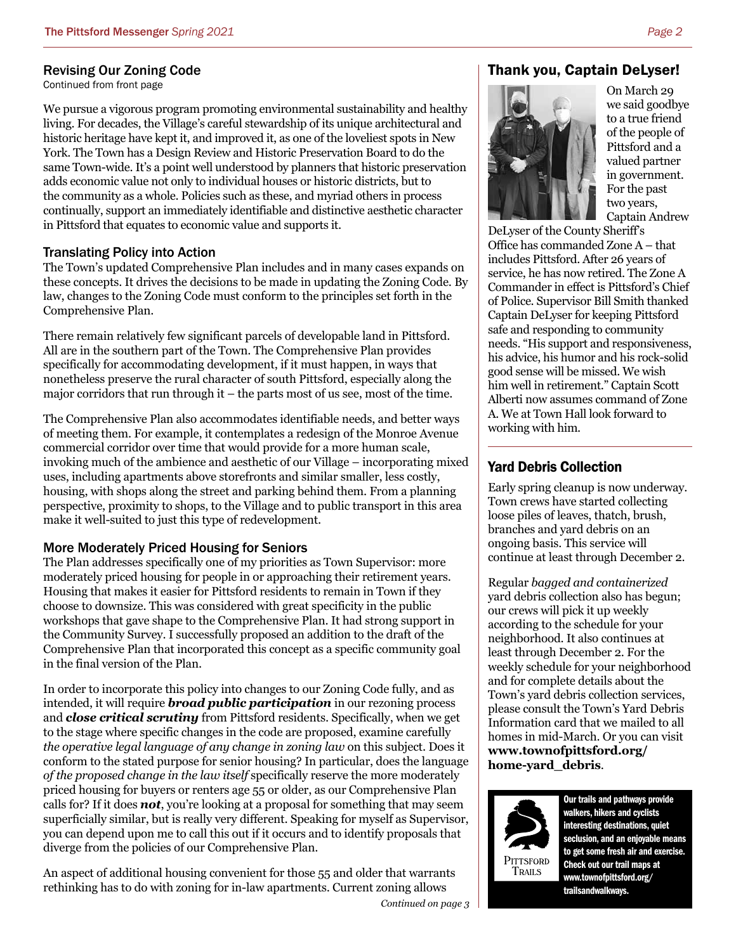#### Revising Our Zoning Code

Continued from front page

We pursue a vigorous program promoting environmental sustainability and healthy living. For decades, the Village's careful stewardship of its unique architectural and historic heritage have kept it, and improved it, as one of the loveliest spots in New York. The Town has a Design Review and Historic Preservation Board to do the same Town-wide. It's a point well understood by planners that historic preservation adds economic value not only to individual houses or historic districts, but to the community as a whole. Policies such as these, and myriad others in process continually, support an immediately identifiable and distinctive aesthetic character in Pittsford that equates to economic value and supports it.

#### Translating Policy into Action

The Town's updated Comprehensive Plan includes and in many cases expands on these concepts. It drives the decisions to be made in updating the Zoning Code. By law, changes to the Zoning Code must conform to the principles set forth in the Comprehensive Plan.

There remain relatively few significant parcels of developable land in Pittsford. All are in the southern part of the Town. The Comprehensive Plan provides specifically for accommodating development, if it must happen, in ways that nonetheless preserve the rural character of south Pittsford, especially along the major corridors that run through it – the parts most of us see, most of the time.

The Comprehensive Plan also accommodates identifiable needs, and better ways of meeting them. For example, it contemplates a redesign of the Monroe Avenue commercial corridor over time that would provide for a more human scale, invoking much of the ambience and aesthetic of our Village – incorporating mixed uses, including apartments above storefronts and similar smaller, less costly, housing, with shops along the street and parking behind them. From a planning perspective, proximity to shops, to the Village and to public transport in this area make it well-suited to just this type of redevelopment.

#### More Moderately Priced Housing for Seniors

The Plan addresses specifically one of my priorities as Town Supervisor: more moderately priced housing for people in or approaching their retirement years. Housing that makes it easier for Pittsford residents to remain in Town if they choose to downsize. This was considered with great specificity in the public workshops that gave shape to the Comprehensive Plan. It had strong support in the Community Survey. I successfully proposed an addition to the draft of the Comprehensive Plan that incorporated this concept as a specific community goal in the final version of the Plan.

In order to incorporate this policy into changes to our Zoning Code fully, and as intended, it will require *broad public participation* in our rezoning process and *close critical scrutiny* from Pittsford residents. Specifically, when we get to the stage where specific changes in the code are proposed, examine carefully *the operative legal language of any change in zoning law* on this subject. Does it conform to the stated purpose for senior housing? In particular, does the language *of the proposed change in the law itself* specifically reserve the more moderately priced housing for buyers or renters age 55 or older, as our Comprehensive Plan calls for? If it does *not*, you're looking at a proposal for something that may seem superficially similar, but is really very different. Speaking for myself as Supervisor, you can depend upon me to call this out if it occurs and to identify proposals that diverge from the policies of our Comprehensive Plan.

An aspect of additional housing convenient for those 55 and older that warrants rethinking has to do with zoning for in-law apartments. Current zoning allows

#### Thank you, Captain DeLyser!



On March 29 we said goodbye to a true friend of the people of Pittsford and a valued partner in government. For the past two years, Captain Andrew

DeLyser of the County Sheriff's Office has commanded Zone A – that includes Pittsford. After 26 years of service, he has now retired. The Zone A Commander in effect is Pittsford's Chief of Police. Supervisor Bill Smith thanked Captain DeLyser for keeping Pittsford safe and responding to community needs. "His support and responsiveness, his advice, his humor and his rock-solid good sense will be missed. We wish him well in retirement." Captain Scott Alberti now assumes command of Zone A. We at Town Hall look forward to working with him.

#### Yard Debris Collection

Early spring cleanup is now underway. Town crews have started collecting loose piles of leaves, thatch, brush, branches and yard debris on an ongoing basis. This service will continue at least through December 2.

Regular *bagged and containerized*  yard debris collection also has begun; our crews will pick it up weekly according to the schedule for your neighborhood. It also continues at least through December 2. For the weekly schedule for your neighborhood and for complete details about the Town's yard debris collection services, please consult the Town's Yard Debris Information card that we mailed to all homes in mid-March. Or you can visit **www.townofpittsford.org/ home-yard\_debris**.



Our trails and pathways provide walkers, hikers and cyclists interesting destinations, quiet seclusion, and an enjoyable means to get some fresh air and exercise. Check out our trail maps at www.townofpittsford.org/ trailsandwalkways.

*Continued on page 3*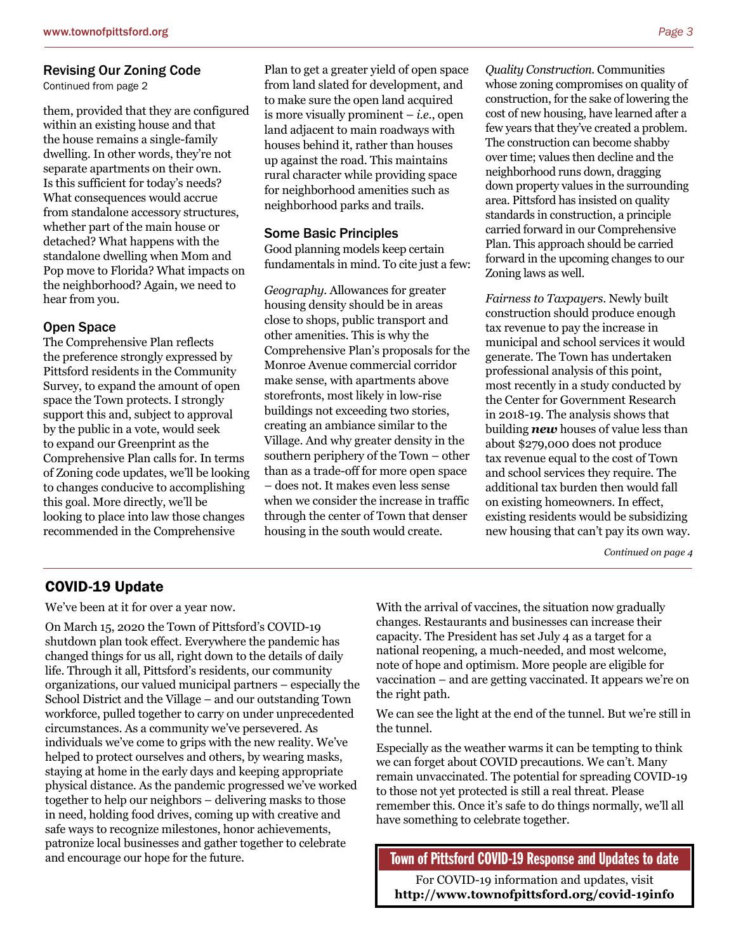#### Revising Our Zoning Code

Continued from page 2

them, provided that they are configured within an existing house and that the house remains a single-family dwelling. In other words, they're not separate apartments on their own. Is this sufficient for today's needs? What consequences would accrue from standalone accessory structures, whether part of the main house or detached? What happens with the standalone dwelling when Mom and Pop move to Florida? What impacts on the neighborhood? Again, we need to hear from you.

#### Open Space

The Comprehensive Plan reflects the preference strongly expressed by Pittsford residents in the Community Survey, to expand the amount of open space the Town protects. I strongly support this and, subject to approval by the public in a vote, would seek to expand our Greenprint as the Comprehensive Plan calls for. In terms of Zoning code updates, we'll be looking to changes conducive to accomplishing this goal. More directly, we'll be looking to place into law those changes recommended in the Comprehensive

Plan to get a greater yield of open space from land slated for development, and to make sure the open land acquired is more visually prominent – *i.e.*, open land adjacent to main roadways with houses behind it, rather than houses up against the road. This maintains rural character while providing space for neighborhood amenities such as neighborhood parks and trails.

#### Some Basic Principles

Good planning models keep certain fundamentals in mind. To cite just a few:

*Geography.* Allowances for greater housing density should be in areas close to shops, public transport and other amenities. This is why the Comprehensive Plan's proposals for the Monroe Avenue commercial corridor make sense, with apartments above storefronts, most likely in low-rise buildings not exceeding two stories, creating an ambiance similar to the Village. And why greater density in the southern periphery of the Town – other than as a trade-off for more open space – does not. It makes even less sense when we consider the increase in traffic through the center of Town that denser housing in the south would create.

*Quality Construction.* Communities whose zoning compromises on quality of construction, for the sake of lowering the cost of new housing, have learned after a few years that they've created a problem. The construction can become shabby over time; values then decline and the neighborhood runs down, dragging down property values in the surrounding area. Pittsford has insisted on quality standards in construction, a principle carried forward in our Comprehensive Plan. This approach should be carried forward in the upcoming changes to our Zoning laws as well.

*Fairness to Taxpayers*. Newly built construction should produce enough tax revenue to pay the increase in municipal and school services it would generate. The Town has undertaken professional analysis of this point, most recently in a study conducted by the Center for Government Research in 2018-19. The analysis shows that building *new* houses of value less than about \$279,000 does not produce tax revenue equal to the cost of Town and school services they require. The additional tax burden then would fall on existing homeowners. In effect, existing residents would be subsidizing new housing that can't pay its own way.

*Continued on page 4*

#### COVID-19 Update

We've been at it for over a year now.

On March 15, 2020 the Town of Pittsford's COVID-19 shutdown plan took effect. Everywhere the pandemic has changed things for us all, right down to the details of daily life. Through it all, Pittsford's residents, our community organizations, our valued municipal partners – especially the School District and the Village – and our outstanding Town workforce, pulled together to carry on under unprecedented circumstances. As a community we've persevered. As individuals we've come to grips with the new reality. We've helped to protect ourselves and others, by wearing masks, staying at home in the early days and keeping appropriate physical distance. As the pandemic progressed we've worked together to help our neighbors – delivering masks to those in need, holding food drives, coming up with creative and safe ways to recognize milestones, honor achievements, patronize local businesses and gather together to celebrate and encourage our hope for the future.

With the arrival of vaccines, the situation now gradually changes. Restaurants and businesses can increase their capacity. The President has set July 4 as a target for a national reopening, a much-needed, and most welcome, note of hope and optimism. More people are eligible for vaccination – and are getting vaccinated. It appears we're on the right path.

We can see the light at the end of the tunnel. But we're still in the tunnel.

Especially as the weather warms it can be tempting to think we can forget about COVID precautions. We can't. Many remain unvaccinated. The potential for spreading COVID-19 to those not yet protected is still a real threat. Please remember this. Once it's safe to do things normally, we'll all have something to celebrate together.

Town of Pittsford COVID-19 Response and Updates to date

For COVID-19 information and updates, visit **http://www.townofpittsford.org/covid-19info**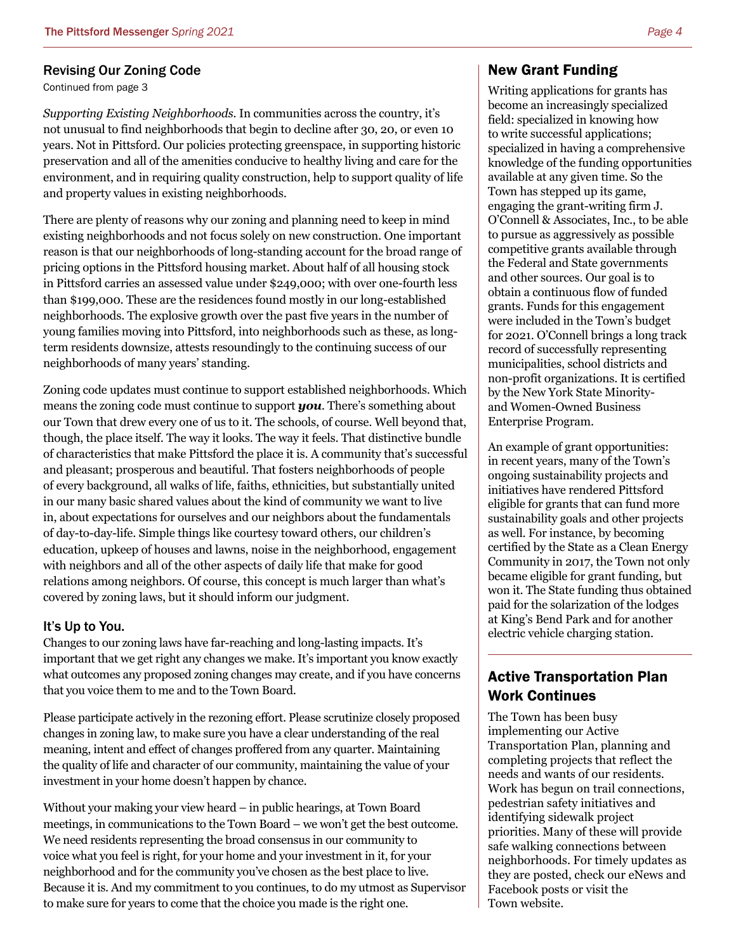#### Revising Our Zoning Code

Continued from page 3

*Supporting Existing Neighborhoods.* In communities across the country, it's not unusual to find neighborhoods that begin to decline after 30, 20, or even 10 years. Not in Pittsford. Our policies protecting greenspace, in supporting historic preservation and all of the amenities conducive to healthy living and care for the environment, and in requiring quality construction, help to support quality of life and property values in existing neighborhoods.

There are plenty of reasons why our zoning and planning need to keep in mind existing neighborhoods and not focus solely on new construction. One important reason is that our neighborhoods of long-standing account for the broad range of pricing options in the Pittsford housing market. About half of all housing stock in Pittsford carries an assessed value under \$249,000; with over one-fourth less than \$199,000. These are the residences found mostly in our long-established neighborhoods. The explosive growth over the past five years in the number of young families moving into Pittsford, into neighborhoods such as these, as longterm residents downsize, attests resoundingly to the continuing success of our neighborhoods of many years' standing.

Zoning code updates must continue to support established neighborhoods. Which means the zoning code must continue to support *you*. There's something about our Town that drew every one of us to it. The schools, of course. Well beyond that, though, the place itself. The way it looks. The way it feels. That distinctive bundle of characteristics that make Pittsford the place it is. A community that's successful and pleasant; prosperous and beautiful. That fosters neighborhoods of people of every background, all walks of life, faiths, ethnicities, but substantially united in our many basic shared values about the kind of community we want to live in, about expectations for ourselves and our neighbors about the fundamentals of day-to-day-life. Simple things like courtesy toward others, our children's education, upkeep of houses and lawns, noise in the neighborhood, engagement with neighbors and all of the other aspects of daily life that make for good relations among neighbors. Of course, this concept is much larger than what's covered by zoning laws, but it should inform our judgment.

#### It's Up to You.

Changes to our zoning laws have far-reaching and long-lasting impacts. It's important that we get right any changes we make. It's important you know exactly what outcomes any proposed zoning changes may create, and if you have concerns that you voice them to me and to the Town Board.

Please participate actively in the rezoning effort. Please scrutinize closely proposed changes in zoning law, to make sure you have a clear understanding of the real meaning, intent and effect of changes proffered from any quarter. Maintaining the quality of life and character of our community, maintaining the value of your investment in your home doesn't happen by chance.

Without your making your view heard – in public hearings, at Town Board meetings, in communications to the Town Board – we won't get the best outcome. We need residents representing the broad consensus in our community to voice what you feel is right, for your home and your investment in it, for your neighborhood and for the community you've chosen as the best place to live. Because it is. And my commitment to you continues, to do my utmost as Supervisor to make sure for years to come that the choice you made is the right one.

#### New Grant Funding

Writing applications for grants has become an increasingly specialized field: specialized in knowing how to write successful applications; specialized in having a comprehensive knowledge of the funding opportunities available at any given time. So the Town has stepped up its game, engaging the grant-writing firm J. O'Connell & Associates, Inc., to be able to pursue as aggressively as possible competitive grants available through the Federal and State governments and other sources. Our goal is to obtain a continuous flow of funded grants. Funds for this engagement were included in the Town's budget for 2021. O'Connell brings a long track record of successfully representing municipalities, school districts and non-profit organizations. It is certified by the New York State Minorityand Women-Owned Business Enterprise Program.

An example of grant opportunities: in recent years, many of the Town's ongoing sustainability projects and initiatives have rendered Pittsford eligible for grants that can fund more sustainability goals and other projects as well. For instance, by becoming certified by the State as a Clean Energy Community in 2017, the Town not only became eligible for grant funding, but won it. The State funding thus obtained paid for the solarization of the lodges at King's Bend Park and for another electric vehicle charging station.

### Active Transportation Plan Work Continues

The Town has been busy implementing our Active Transportation Plan, planning and completing projects that reflect the needs and wants of our residents. Work has begun on trail connections, pedestrian safety initiatives and identifying sidewalk project priorities. Many of these will provide safe walking connections between neighborhoods. For timely updates as they are posted, check our eNews and Facebook posts or visit the Town website.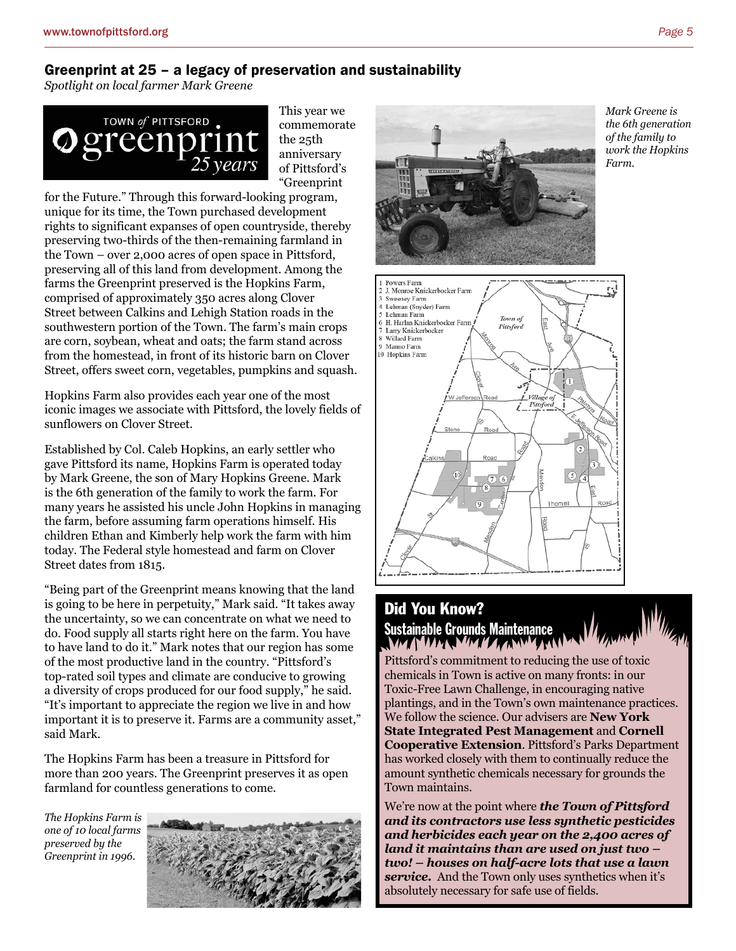#### Greenprint at 25 – a legacy of preservation and sustainability

*Spotlight on local farmer Mark Greene*



This year we commemorate the 25th anniversary of Pittsford's "Greenprint

for the Future." Through this forward-looking program, unique for its time, the Town purchased development rights to significant expanses of open countryside, thereby preserving two-thirds of the then-remaining farmland in the Town – over 2,000 acres of open space in Pittsford, preserving all of this land from development. Among the farms the Greenprint preserved is the Hopkins Farm, comprised of approximately 350 acres along Clover Street between Calkins and Lehigh Station roads in the southwestern portion of the Town. The farm's main crops are corn, soybean, wheat and oats; the farm stand across from the homestead, in front of its historic barn on Clover Street, offers sweet corn, vegetables, pumpkins and squash.

Hopkins Farm also provides each year one of the most iconic images we associate with Pittsford, the lovely fields of sunflowers on Clover Street.

Established by Col. Caleb Hopkins, an early settler who gave Pittsford its name, Hopkins Farm is operated today by Mark Greene, the son of Mary Hopkins Greene. Mark is the 6th generation of the family to work the farm. For many years he assisted his uncle John Hopkins in managing the farm, before assuming farm operations himself. His children Ethan and Kimberly help work the farm with him today. The Federal style homestead and farm on Clover Street dates from 1815.

"Being part of the Greenprint means knowing that the land is going to be here in perpetuity," Mark said. "It takes away the uncertainty, so we can concentrate on what we need to do. Food supply all starts right here on the farm. You have to have land to do it." Mark notes that our region has some of the most productive land in the country. "Pittsford's top-rated soil types and climate are conducive to growing a diversity of crops produced for our food supply," he said. "It's important to appreciate the region we live in and how important it is to preserve it. Farms are a community asset," said Mark.

The Hopkins Farm has been a treasure in Pittsford for more than 200 years. The Greenprint preserves it as open farmland for countless generations to come.

*The Hopkins Farm is one of 10 local farms preserved by the Greenprint in 1996.*





*Mark Greene is the 6th generation of the family to work the Hopkins Farm.*



# Did You Know? Sustainable Grounds Maintenance<br>NACIONAL NACIONAL ANNELISM

Pittsford's commitment to reducing the use of toxic chemicals in Town is active on many fronts: in our Toxic-Free Lawn Challenge, in encouraging native plantings, and in the Town's own maintenance practices. We follow the science. Our advisers are **New York State Integrated Pest Management** and **Cornell Cooperative Extension**. Pittsford's Parks Department has worked closely with them to continually reduce the amount synthetic chemicals necessary for grounds the Town maintains.

We're now at the point where *the Town of Pittsford and its contractors use less synthetic pesticides and herbicides each year on the 2,400 acres of land it maintains than are used on just two – two! – houses on half-acre lots that use a lawn service.* And the Town only uses synthetics when it's absolutely necessary for safe use of fields.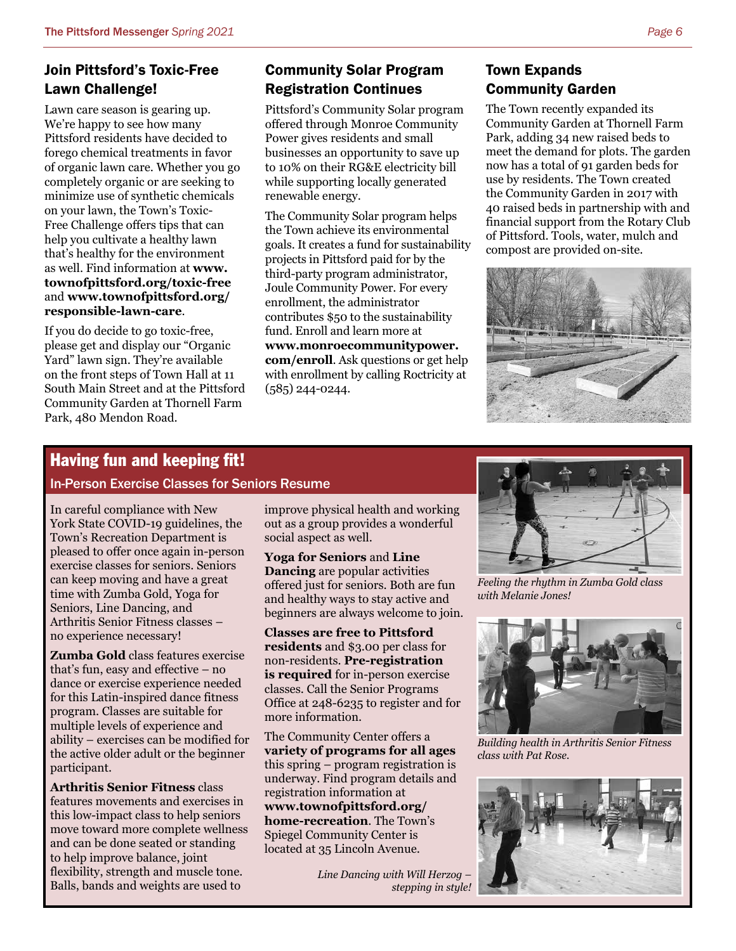### Join Pittsford's Toxic-Free Lawn Challenge!

Lawn care season is gearing up. We're happy to see how many Pittsford residents have decided to forego chemical treatments in favor of organic lawn care. Whether you go completely organic or are seeking to minimize use of synthetic chemicals on your lawn, the Town's Toxic-Free Challenge offers tips that can help you cultivate a healthy lawn that's healthy for the environment as well. Find information at **www. townofpittsford.org/toxic-free**  and **www.townofpittsford.org/ responsible-lawn-care**.

If you do decide to go toxic-free, please get and display our "Organic Yard" lawn sign. They're available on the front steps of Town Hall at 11 South Main Street and at the Pittsford Community Garden at Thornell Farm Park, 480 Mendon Road.

# Community Solar Program Registration Continues

Pittsford's Community Solar program offered through Monroe Community Power gives residents and small businesses an opportunity to save up to 10% on their RG&E electricity bill while supporting locally generated renewable energy.

The Community Solar program helps the Town achieve its environmental goals. It creates a fund for sustainability projects in Pittsford paid for by the third-party program administrator, Joule Community Power. For every enrollment, the administrator contributes \$50 to the sustainability fund. Enroll and learn more at **www.monroecommunitypower. com/enroll**. Ask questions or get help with enrollment by calling Roctricity at (585) 244-0244.

### Town Expands Community Garden

The Town recently expanded its Community Garden at Thornell Farm Park, adding 34 new raised beds to meet the demand for plots. The garden now has a total of 91 garden beds for use by residents. The Town created the Community Garden in 2017 with 40 raised beds in partnership with and financial support from the Rotary Club of Pittsford. Tools, water, mulch and compost are provided on-site.



# Having fun and keeping fit!

#### In-Person Exercise Classes for Seniors Resume

In careful compliance with New York State COVID-19 guidelines, the Town's Recreation Department is pleased to offer once again in-person exercise classes for seniors. Seniors can keep moving and have a great time with Zumba Gold, Yoga for Seniors, Line Dancing, and Arthritis Senior Fitness classes – no experience necessary!

**Zumba Gold** class features exercise that's fun, easy and effective – no dance or exercise experience needed for this Latin-inspired dance fitness program. Classes are suitable for multiple levels of experience and ability – exercises can be modified for the active older adult or the beginner participant.

**Arthritis Senior Fitness** class features movements and exercises in this low-impact class to help seniors move toward more complete wellness and can be done seated or standing to help improve balance, joint flexibility, strength and muscle tone. Balls, bands and weights are used to

improve physical health and working out as a group provides a wonderful social aspect as well.

**Yoga for Seniors** and **Line Dancing** are popular activities offered just for seniors. Both are fun and healthy ways to stay active and beginners are always welcome to join.

**Classes are free to Pittsford residents** and \$3.00 per class for non-residents. **Pre-registration is required** for in-person exercise classes. Call the Senior Programs Office at 248-6235 to register and for more information.

The Community Center offers a **variety of programs for all ages**  this spring – program registration is underway. Find program details and registration information at **www.townofpittsford.org/ home-recreation**. The Town's Spiegel Community Center is located at 35 Lincoln Avenue.

> *Line Dancing with Will Herzog – stepping in style!*



*Feeling the rhythm in Zumba Gold class with Melanie Jones!* 



*Building health in Arthritis Senior Fitness class with Pat Rose.*

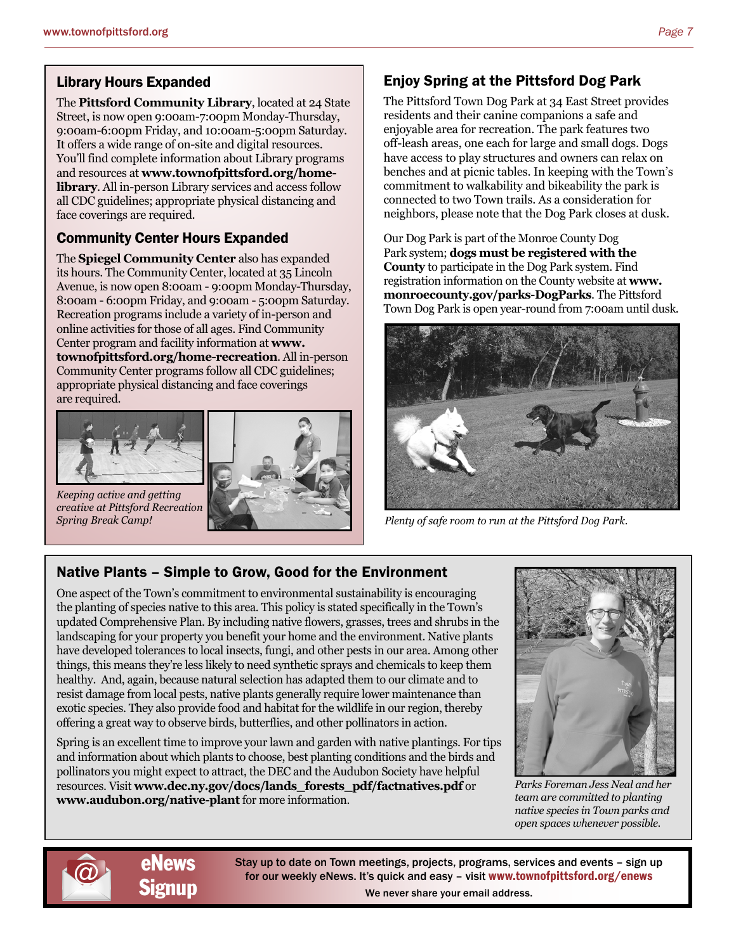### Library Hours Expanded

The **Pittsford Community Library**, located at 24 State Street, is now open 9:00am-7:00pm Monday-Thursday, 9:00am-6:00pm Friday, and 10:00am-5:00pm Saturday. It offers a wide range of on-site and digital resources. You'll find complete information about Library programs and resources at **www.townofpittsford.org/homelibrary**. All in-person Library services and access follow all CDC guidelines; appropriate physical distancing and face coverings are required.

## Community Center Hours Expanded

The **Spiegel Community Center** also has expanded its hours. The Community Center, located at 35 Lincoln Avenue, is now open 8:00am - 9:00pm Monday-Thursday, 8:00am - 6:00pm Friday, and 9:00am - 5:00pm Saturday. Recreation programs include a variety of in-person and online activities for those of all ages. Find Community Center program and facility information at **www. townofpittsford.org/home-recreation**. All in-person Community Center programs follow all CDC guidelines; appropriate physical distancing and face coverings are required.



*Keeping active and getting creative at Pittsford Recreation* 



# Enjoy Spring at the Pittsford Dog Park

The Pittsford Town Dog Park at 34 East Street provides residents and their canine companions a safe and enjoyable area for recreation. The park features two off-leash areas, one each for large and small dogs. Dogs have access to play structures and owners can relax on benches and at picnic tables. In keeping with the Town's commitment to walkability and bikeability the park is connected to two Town trails. As a consideration for neighbors, please note that the Dog Park closes at dusk.

Our Dog Park is part of the Monroe County Dog Park system; **dogs must be registered with the County** to participate in the Dog Park system. Find registration information on the County website at **www. monroecounty.gov/parks-DogParks**. The Pittsford Town Dog Park is open year-round from 7:00am until dusk.



*Spring Break Camp! Plenty of safe room to run at the Pittsford Dog Park.*

# Native Plants – Simple to Grow, Good for the Environment

One aspect of the Town's commitment to environmental sustainability is encouraging the planting of species native to this area. This policy is stated specifically in the Town's updated Comprehensive Plan. By including native flowers, grasses, trees and shrubs in the landscaping for your property you benefit your home and the environment. Native plants have developed tolerances to local insects, fungi, and other pests in our area. Among other things, this means they're less likely to need synthetic sprays and chemicals to keep them healthy. And, again, because natural selection has adapted them to our climate and to resist damage from local pests, native plants generally require lower maintenance than exotic species. They also provide food and habitat for the wildlife in our region, thereby offering a great way to observe birds, butterflies, and other pollinators in action.

Spring is an excellent time to improve your lawn and garden with native plantings. For tips and information about which plants to choose, best planting conditions and the birds and pollinators you might expect to attract, the DEC and the Audubon Society have helpful resources. Visit **www.dec.ny.gov/docs/lands\_forests\_pdf/factnatives.pdf** or **www.audubon.org/native-plant** for more information.



*Parks Foreman Jess Neal and her team are committed to planting native species in Town parks and open spaces whenever possible.*





Stay up to date on Town meetings, projects, programs, services and events – sign up for our weekly eNews. It's quick and easy – visit www.townofpittsford.org/enews We never share your email address.